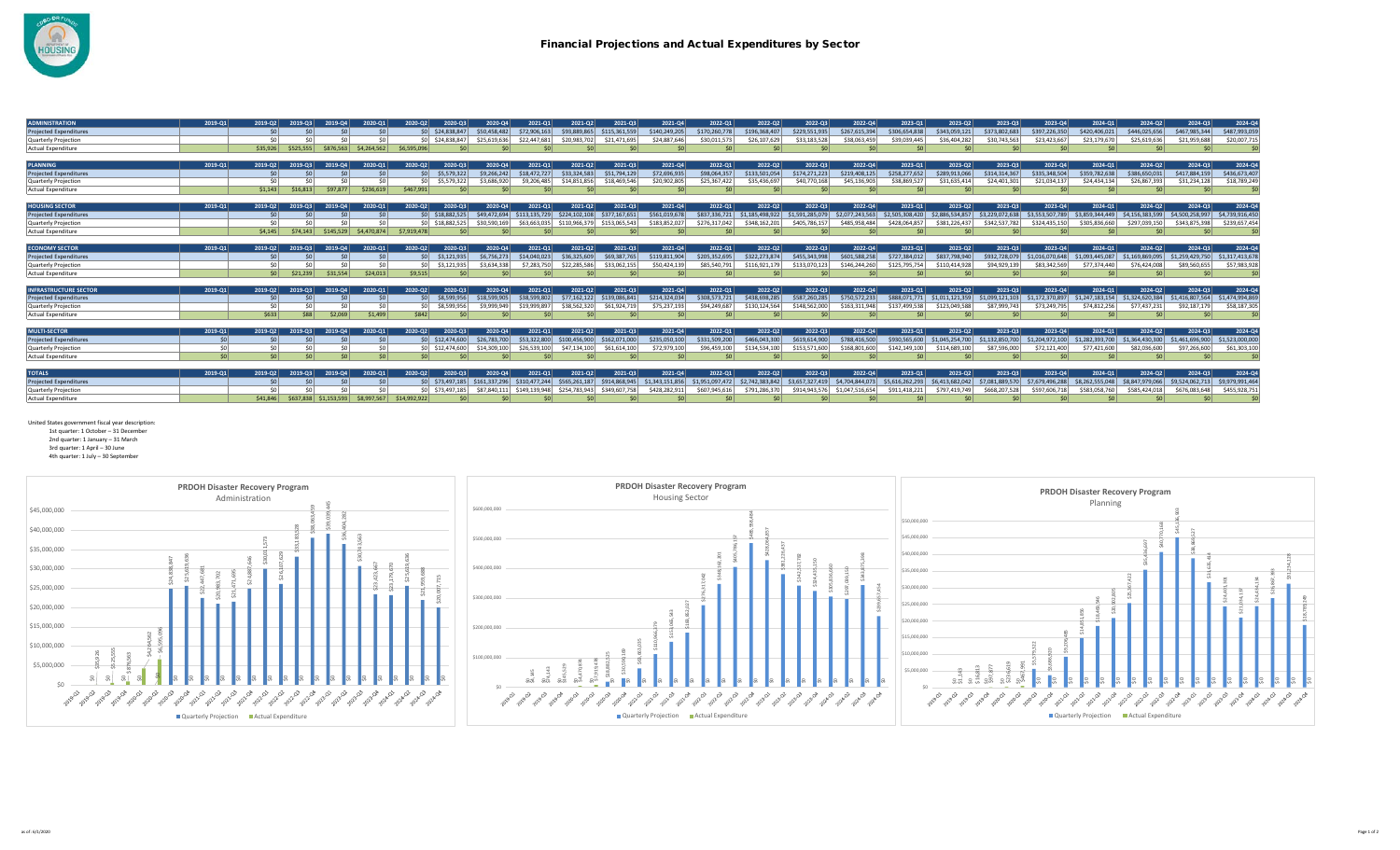

| <b>ADMINISTRATION</b>         | 2019-01 | 2019-02        | 2019-03   | 2019-04     | 2020-01     | 2020-Q2         | 2020-03          | 2020-04         | 2021-01       | 2021-02       | 2021-03                     | 2021-04         | 2022-01         | 2022-02         | 2022-03         | 2022-04         | 2023-01         | 2023-02         | 2023-03         | 2023-04         | 2024-01         | 2024-02         | 2024-03         | 2024-Q4         |
|-------------------------------|---------|----------------|-----------|-------------|-------------|-----------------|------------------|-----------------|---------------|---------------|-----------------------------|-----------------|-----------------|-----------------|-----------------|-----------------|-----------------|-----------------|-----------------|-----------------|-----------------|-----------------|-----------------|-----------------|
| <b>Projected Expenditures</b> |         | \$0            |           |             |             |                 | SO \$24,838,847  | \$50,458,482    | \$72,906,163  | \$93,889,865  | \$115,361,559               | \$140.249.205   | \$170,260,778   | \$196,368,407   | \$229,551,935   | \$267,615,394   | \$306,654,838   | \$343,059,121   | \$373,802,683   | \$397,226,350   | \$420,406,021   | \$446,025,656   | \$467,985,344   | \$487,993,059   |
| Quarterly Projection          |         |                |           |             |             |                 | SO \$24,838,847  | \$25,619,636    | \$22,447,681  | \$20,983,702  | \$21.471.695                | \$24,887,646    | \$30,011.573    | \$26,107,629    | \$33,183,528    | \$38,063,459    | \$39,039,445    | \$36,404.282    | \$30,743,563    | \$23,423,667    | \$23,179,670    | \$25,619,636    | \$21,959,688    | \$20,007,715    |
| Actual Expenditure            |         | \$35,926       | \$525,555 | \$876,563   | \$4,264,562 | \$6,595,096     |                  |                 |               | \$0           |                             |                 | \$0             | \$0             | \$0             | \$0             | SO <sub>2</sub> | \$0             |                 | \$0             |                 | \$0             | \$0             | - \$0           |
|                               |         |                |           |             |             |                 |                  |                 |               |               |                             |                 |                 |                 |                 |                 |                 |                 |                 |                 |                 |                 |                 |                 |
| <b>PLANNING</b>               | 2019-01 | 2019-02        | 2019-03   | 2019-04     | 2020-01     | 2020-02         | 2020-03          | 2020-04         | 2021-01       | 2021-02       | 2021-03                     | 2021-04         | 2022-01         | 2022-02         | 2022-03         | 2022-04         | 2023-01         | 2023-02         | 2023-03         | 2023-04         | 2024-01         | 2024-02         | 2024-03         | 2024-Q4         |
| <b>Projected Expenditures</b> |         | \$0            |           |             |             | SO <sub>2</sub> | \$5,579,322      | \$9,266,242     | \$18,472,727  | \$33,324,583  | \$51,794,129                | \$72,696,935    | \$98,064,357    | \$133,501.054   | \$174,271,223   | \$219,408.125   | \$258.277.652   | \$289.913.066   | \$314,314,367   | \$335,348,504   | \$359,782,638   | \$386,650,031   | \$417,884,159   | \$436,673,407   |
| Quarterly Projection          |         |                | ሩስ        |             |             |                 | \$5,579.322      | \$3,686,920     | \$9.206.485   | \$14,851,856  | \$18,469,546                | \$20,902,805    | \$25,367,422    | \$35,436.69     | \$40,770,168    | \$45,136,90     | \$38,869,527    | \$31,635,41     | \$24,401,301    | \$21.034.137    | \$24,434,134    | \$26,867,393    | \$31,234,128    | \$18,789,249    |
| <b>Actual Expenditure</b>     |         | \$1,143        | \$16,813  | \$97,877    | \$236,619   | \$467,991       |                  | \$0             |               | \$0           |                             |                 | \$0             | \$0             |                 | \$0             | SO <sub>2</sub> | \$0             |                 | $\mathsf{S}$    |                 | \$0             |                 | $\mathsf{S}$    |
|                               |         |                |           |             |             |                 |                  |                 |               |               |                             |                 |                 |                 |                 |                 |                 |                 |                 |                 |                 |                 |                 |                 |
| <b>HOUSING SECTOR</b>         | 2019-01 | 2019-02        | 2019-03   | 2019-04     | 2020-01     | 2020-02         | 2020-03          | 2020-04         | 2021-01       | 2021-02       | 2021-03                     | 2021-04         | 2022-01         | 2022-02         | 2022-03         | 2022-04         | $2023 - 01$     | 2023-02         | 2023-03         | 2023-04         | 2024-01         | 2024-02         | 2024-03         | 2024-Q4         |
| <b>Projected Expenditures</b> |         |                |           |             |             |                 | \$0 \$18,882,525 | \$49,472,694    | \$113,135,729 | \$224,102,108 | \$377,167,651               | \$561,019,678   | \$837,336,721   | \$1,185,498,922 | \$1,591,285,079 | \$2,077,243,563 | \$2,505,308,420 | \$2,886,534,857 | \$3,229,072,638 | \$3,553,507,789 | \$3,859,344,449 | \$4,156,383,599 | \$4,500,258,997 | \$4,739,916,450 |
| Quarterly Projection          |         |                |           |             |             |                 | SO S18,882,525   | \$30,590,169    | \$63,663,035  |               | \$110.966.379 \$153.065.543 | \$183,852.02    | \$276,317,042   | \$348,162,201   | \$405,786,157   | \$485,958,484   | \$428,064,857   | \$381,226,437   | \$342,537,782   | \$324,435.150   | \$305,836,660   | \$297,039,150   | \$343,875,398   | \$239,657,454   |
| <b>Actual Expenditure</b>     |         | \$4.145        | \$74.143  | \$145.529   | \$4,470,874 | \$7,919,478     |                  |                 |               | \$0           |                             |                 | \$0             |                 |                 | S0              | S <sub>0</sub>  | $\mathsf{S}$    |                 |                 |                 | \$0             | Ś۵              | <b>S</b>        |
|                               |         |                |           |             |             |                 |                  |                 |               |               |                             |                 |                 |                 |                 |                 |                 |                 |                 |                 |                 |                 |                 |                 |
| <b>ECONOMY SECTOR</b>         | 2019-01 | 2019-02        | 2019-03   | 2019-04     | 2020-01     | 2020-02         | 2020-03          | 2020-04         | 2021-01       | 2021-02       | 2021-03                     | 2021-04         | 2022-01         | 2022-02         | 2022-03         | 2022-04         | 2023-01         | 2023-02         | 2023-03         | 2023-04         | 2024-01         | 2024-02         | 2024-03         | 2024-Q4         |
| <b>Projected Expenditures</b> |         |                |           |             |             | $\sin$          | \$3,121,935      | \$6,756,273     | \$14,040,023  | \$36,325,609  | \$69,387,765                | \$119,811,904   | \$205,352,695   | \$322.273.874   | \$455,343,998   | \$601.588.258   | \$727,384,012   | \$837,798,940   | \$932,728,079   | \$1.016.070.648 | \$1,093,445,087 | \$1.169.869.095 | \$1,259,429,750 | \$1,317,413,678 |
| Quarterly Projection          |         |                | ሩስ        |             |             |                 | \$3,121,935      | \$3.634.338     | \$7,283,750   | \$22,285,586  | \$33,062,155                | \$50,424,139    | \$85,540,791    | \$116.921.179   | \$133,070,123   | \$146.244.260   | \$125,795,754   | \$110,414,928   | \$94,929,139    | \$83,342,569    | \$77.374.440    | \$76,424,008    | \$89,560,655    | \$57,983,928    |
| <b>Actual Expenditure</b>     |         | S <sub>0</sub> | \$21.239  | \$31.554    | \$24,013    | \$9.515         |                  | <b>SO</b>       |               | \$0           |                             |                 |                 |                 |                 | S0              | -SO             | $\mathsf{S}$    |                 |                 |                 | \$0             |                 |                 |
|                               |         |                |           |             |             |                 |                  |                 |               |               |                             |                 |                 |                 |                 |                 |                 |                 |                 |                 |                 |                 |                 |                 |
| <b>NFRASTRUCTURE SECTOR</b>   | 2019-01 | 2019-02        | 2019-03   | 2019-04     | 2020-01     | 2020-Q2         | 2020-03          | 2020-04         | 2021-01       | 2021-02       | 2021-03                     | 2021-04         | 2022-01         | 2022-02         | 2022-03         | 2022-04         | $2023-01$       | 2023-02         | 2023-03         | 2023-04         | 2024-01         | 2024-02         | 2024-03         | 2024-Q4         |
| <b>Projected Expenditures</b> |         |                |           |             |             | \$0             | \$8,599,956      | \$18,599,905    | \$38,599,802  | \$77,162,122  | \$139,086,841               | \$214,324,034   | \$308,573,721   | \$438,698,285   | \$587,260,285   | \$750,572,233   | \$888,071,771   | \$1,011,121,359 | \$1,099,121,103 | \$1,172,370,897 | \$1,247,183,154 | \$1,324,620,384 | \$1,416,807,564 | \$1,474,994,869 |
| Quarterly Projection          |         |                |           |             |             |                 | \$8.599.956      | \$9,999,949     | \$19,999.897  | \$38,562,320  | \$61,924,719                | \$75.237.193    | \$94,249,687    | \$130.124.564   | \$148.562.000   | \$163.311.948   | \$137.499.538   | \$123,049,588   | \$87,999,743    | \$73,249,795    | \$74,812,256    | \$77,437,231    | \$92,187,179    | \$58,187,305    |
| <b>Actual Expenditure</b>     |         | \$633          | \$88      | 2.069       | \$1,499     | \$842           |                  |                 |               | \$0           |                             |                 | S0              |                 |                 |                 | S <sub>0</sub>  | \$0             |                 |                 |                 | \$0             |                 | S(              |
|                               |         |                |           |             |             |                 |                  |                 |               |               |                             |                 |                 |                 |                 |                 |                 |                 |                 |                 |                 |                 |                 |                 |
| <b>MULTI-SECTOR</b>           | 2019-01 | 2019-02        | 2019-03   | 2019-04     | 2020-01     | 2020-Q2         | 2020-03          | $2020 - 04$     | 2021-01       | 2021-02       | 2021-03                     | 2021-04         | 2022-01         | 2022-02         | 2022-03         | 2022-04         | $2023 - 01$     | 2023-02         | 2023-03         | 2023-04         | 2024-01         | 2024-02         | 2024-03         | 2024-Q4         |
| <b>Projected Expenditures</b> | \$0     |                | Ś0        |             |             |                 | SO \$12,474,600  | \$26,783,700    | \$53,322,800  | \$100,456,900 | \$162,071,000               | \$235.050.100   | \$331,509,200   | \$466,043,300   | \$619,614,900   | \$788,416,500   | \$930,565,600   | \$1,045,254,700 | \$1,132,850,700 | \$1,204,972,100 | \$1,282,393,700 | \$1,364,430,300 | \$1,461,696,900 | \$1,523,000,000 |
| Quarterly Projection          |         |                |           |             |             |                 | SO \$12,474,600  | \$14,309,100    | \$26,539,100  | \$47,134,100  | \$61,614,100                | \$72,979,100    | \$96,459,100    | \$134,534,100   | \$153.571.600   | 168.801.600     | \$142.149.100   | \$114,689,100   | \$87,596,000    | \$72,121,400    | \$77,421,600    | \$82,036,600    | \$97,266,600    | \$61,303,100    |
| Actual Expenditure            | \$0     | \$0            | \$0       | \$0         | \$0         | SO <sub>2</sub> | \$0              | SO <sub>2</sub> |               | \$0           |                             |                 | \$0             | \$0             |                 | \$0             | SO <sub>2</sub> | \$O             |                 |                 |                 | \$0             | \$0             |                 |
|                               |         |                |           |             |             |                 |                  |                 |               |               |                             |                 |                 |                 |                 |                 |                 |                 |                 |                 |                 |                 |                 |                 |
| <b>TOTALS</b>                 | 2019-01 | 2019-02        | 2019-03   | 2019-04     | 2020-01     | 2020-02         | 2020-03          | 2020-04         | 2021-01       | 2021-02       | 2021-03                     | 2021-04         | 2022-01         | 2022-02         | 2022-03         | 2022-04         | $2023 - 01$     | 2023-02         | 2023-03         | 2023-04         | 2024-01         | 2024-02         | 2024-03         | 2024-Q4         |
| <b>Projected Expenditures</b> |         |                |           |             |             |                 | SO \$73,497,185  | \$161,337,296   | \$310,477,244 | \$565,261,187 | \$914,868,945               | \$1,343,151,856 | \$1,951,097,472 | \$2,742,383,842 | \$3,657,327,419 | \$4,704,844,073 | \$5,616,262,293 | \$6,413,682,042 | \$7,081,889,570 | \$7,679,496,288 | \$8,262,555,048 | \$8,847,979,066 | \$9,524,062,713 | \$9,979,991,464 |
| Quarterly Projection          |         |                |           |             |             |                 | \$0 \$73,497,185 |                 | \$149,139,948 | \$254.783.943 | \$349,607,758               | \$428,282,91    | \$607,945,616   | \$791,286,370   | \$914,943,576   | \$1,047,516,654 | \$911,418,221   | \$797,419,749   | \$668,207,528   | \$597,606,718   | \$583,058,760   | \$585,424,018   | \$676,083,648   | \$455,928,75:   |
| Actual Expenditure            |         | \$41,846       | \$637,838 | \$1,153,593 | \$8,997,567 | \$14,992,922    |                  |                 |               |               |                             |                 |                 |                 |                 | \$0             |                 |                 |                 |                 |                 |                 |                 |                 |

United States government fiscal year description:

1st quarter: 1 October – 31 December 2nd quarter: 1 January – 31 March

3rd quarter: 1 April – 30 June

4th quarter: 1 July – 30 September